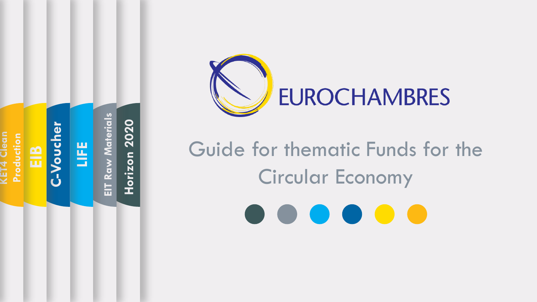



# Guide for thematic Funds for the Circular Economy

 $\begin{array}{c} \bullet \hspace*{1.5cm} \bullet \hspace*{1.5cm} \bullet \hspace*{1.5cm} \bullet \hspace*{1.5cm} \bullet \hspace*{1.5cm} \bullet \hspace*{1.5cm} \bullet \hspace*{1.5cm} \bullet \hspace*{1.5cm} \bullet \hspace*{1.5cm} \bullet \hspace*{1.5cm} \bullet \hspace*{1.5cm} \bullet \hspace*{1.5cm} \bullet \hspace*{1.5cm} \bullet \hspace*{1.5cm} \bullet \hspace*{1.5cm} \bullet \hspace*{1.5cm} \bullet \hspace*{1.5cm} \bullet \hspace*{1.$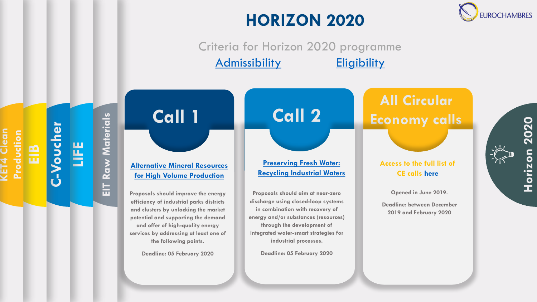## **HORIZON 2020**

**JROCHAMBRES** 

Criteria for Horizon 2020 programme [Admissibility](https://ec.europa.eu/research/participants/data/ref/h2020/other/wp/2018-2020/annexes/h2020-wp1820-annex-b-adm_en.pdf) [Eligibility](https://ec.europa.eu/research/participants/data/ref/h2020/other/wp/2018-2020/annexes/h2020-wp1820-annex-c-elig_en.pdf)



**C**

**-Voucher**

**EIB**

**KET4 Clean** 

 $\sqrt{E}$ 

Clean

**Production**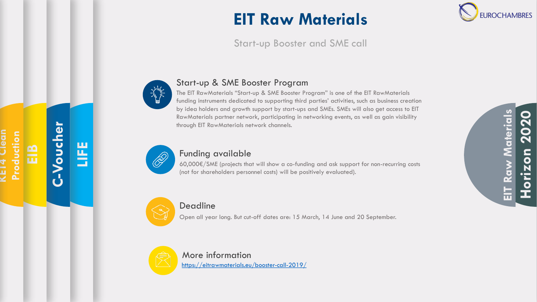## **EIT Raw Materials**

### Start -up Booster and SME call



### Start -up & SME Booster Program

The EIT RawMaterials "Start -up & SME Booster Program" is one of the EIT RawMaterials funding instruments dedicated to supporting third parties' activities, such as business creation by idea holders and growth support by start -ups and SMEs. SMEs will also get access to EIT RawMaterials partner network, participating in networking events, as well as gain visibility through EIT RawMaterials network channels.



**LIFE**

**C-Voucher**

**EIB**

**KET4 Clean** 

 $\frac{1}{4}$ 

an

**Production**

### Funding available

60,000€/SME (projects that will show a co -funding and ask support for non -recurring costs (not for shareholders personnel costs) will be positively evaluated).



### Deadline

Open all year long. But cut -off dates are: 15 March, 14 June and 20 September.



More information [https://eitrawmaterials.eu/booster](https://eitrawmaterials.eu/booster-call-2019/) -call -2019/



**IROCHAMBRES**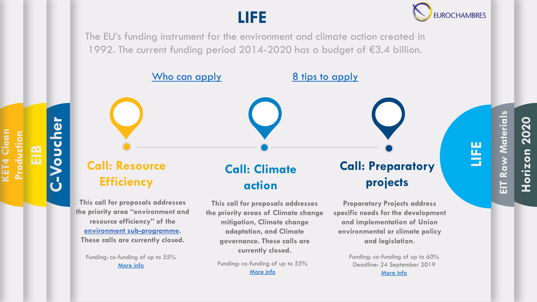## **LIFE**



The EU's funding instrument for the environment and climate action created in 1992. The current funding period 2014-2020 has a budget of €3.4 billion.



Funding: co-funding of up to 55% [More info](https://ec.europa.eu/easme/en/section/life/2019-life-call-proposals-traditional-projects-climate-action)

**C**

[More info](https://ec.europa.eu/easme/en/section/life/2018-life-call-proposals-traditional-projects-environment-and-resource-efficiency)

**-Voucher**

**EIB**

**KET4 Clean** 

**CET4 Clean** 

**Production**

Funding: co-funding of up to 60% Deadline: 24 September 2019 [More info](https://ec.europa.eu/easme/en/section/life/2019-call-proposals-preparatory-projects)

## **EIT Raw Materials Raw Materials Horizon 2020** 늡

**LIFE**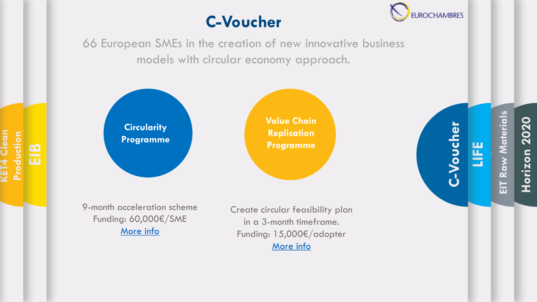## **C-Voucher**



66 European SMEs in the creation of new innovative business models with circular economy approach.



**EIB**

**KET4 Clean** 

**KET4 Clean** 

**Production**

**Value Chain Replication Programme**

9-month acceleration scheme Funding: 60,000€/SME [More info](https://c-voucher.com/opencalls/)

Create circular feasibility plan in a 3-month timeframe. Funding: 15,000€/adopter [More info](https://c-voucher.com/opencalls/)

**EIT Raw Materials**  Raw Materials **Horizon 2020** 늞

**LIFE**

**C**

**-Voucher**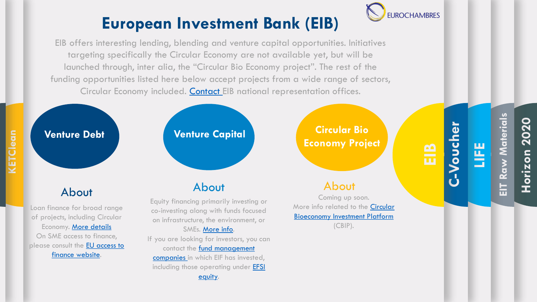

## **European Investment Bank (EIB)**

EIB offers interesting lending, blending and venture capital opportunities. Initiatives targeting specifically the Circular Economy are not available yet, but will be launched through, inter alia, the "Circular Bio Economy project". The rest of the funding opportunities listed here below accept projects from a wide range of sectors, Circular Economy included. [Contact E](https://www.eib.org/en/infocentre/contact/offices/index.htm)IB national representation offices.

> including those [operating under EFSI](http://www.eif.org/what_we_do/efsi/equity-deals.pdf) equity.

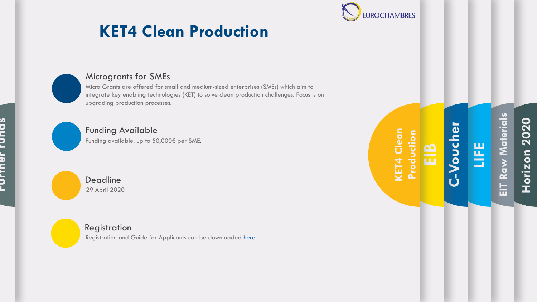

## **KET4 Clean Production**



**Further funds**

**LANTION LOTION** 

#### Microgrants for SMEs

Micro Grants are offered for small and medium -sized enterprises (SMEs) which aim to integrate key enabling technologies (KET) to solve clean production challenges. Focus is on upgrading production processes.

### Funding Available

Funding available: up to 50,000€ per SME.

Deadline 29 April 2020

#### Registration

Registration and Guide for Applicants can be downloaded [here](https://www.ket4sme.eu/micro-grants).

**KET4 Clean**  KET4 Clean **Production EIB** **Horizon 2020**

**EIT Raw Materials** 

는

Raw Materials

**LIFE**

**C-Voucher**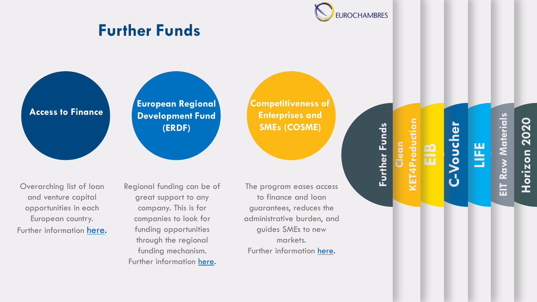

### **Further Funds**

**Access to Finance**

**European Regional Development Fund (ERDF)**

**Competitiveness of Enterprises and SMEs (COSME)**

Overarching list of loan and venture capital opportunities in each European country. Further information [here](https://europa.eu/youreurope/business/finance-funding/getting-funding/access-finance/). Regional funding can be of great support to any company. This is for companies to look for funding opportunities through the regional funding mechanism. Further information [here.](https://ec.europa.eu/regional_policy/en/funding/erdf/)

The program eases access to finance and loan guarantees, reduces the administrative burden, and guides SMEs to new markets. Further information [here](https://ec.europa.eu/easme/en/cosme/cosme-funding-opportunities).

Further Funds **Further Funds Clean**  Prod **Horizon 2020**

**EIT Raw Materials** 

듄

Raw Materials

**LIFE**

**C**

**EIB**

**KET4Production**

**-Voucher**